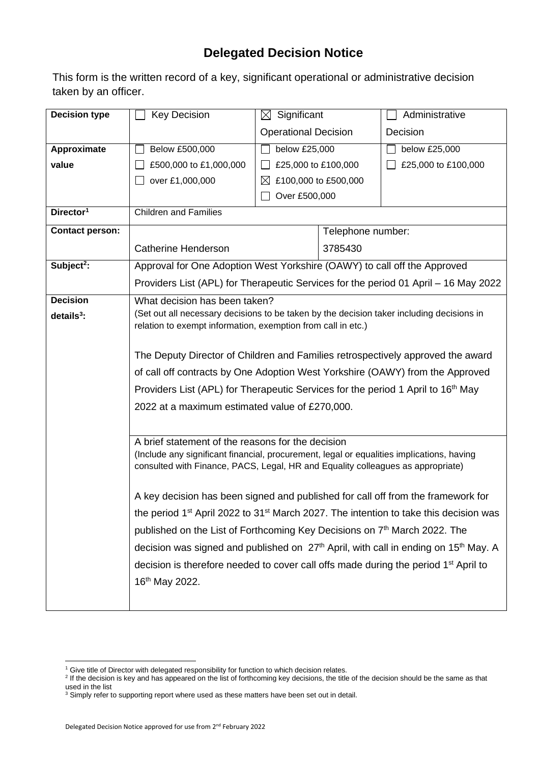## **Delegated Decision Notice**

This form is the written record of a key, significant operational or administrative decision taken by an officer.

| <b>Decision type</b>   | <b>Key Decision</b>                                                                                           | $\boxtimes$ Significant     |                      | Administrative      |  |
|------------------------|---------------------------------------------------------------------------------------------------------------|-----------------------------|----------------------|---------------------|--|
|                        |                                                                                                               | <b>Operational Decision</b> |                      | Decision            |  |
| Approximate            | Below £500,000                                                                                                | below £25,000               |                      | below £25,000       |  |
| value                  | £500,000 to £1,000,000                                                                                        | £25,000 to £100,000         |                      | £25,000 to £100,000 |  |
|                        | over £1,000,000                                                                                               |                             | £100,000 to £500,000 |                     |  |
|                        |                                                                                                               | Over £500,000               |                      |                     |  |
| Director <sup>1</sup>  | <b>Children and Families</b>                                                                                  |                             |                      |                     |  |
| <b>Contact person:</b> |                                                                                                               |                             | Telephone number:    |                     |  |
|                        | <b>Catherine Henderson</b>                                                                                    |                             | 3785430              |                     |  |
| Subject <sup>2</sup> : | Approval for One Adoption West Yorkshire (OAWY) to call off the Approved                                      |                             |                      |                     |  |
|                        | Providers List (APL) for Therapeutic Services for the period 01 April – 16 May 2022                           |                             |                      |                     |  |
| <b>Decision</b>        | What decision has been taken?                                                                                 |                             |                      |                     |  |
| $details3$ :           | (Set out all necessary decisions to be taken by the decision taker including decisions in                     |                             |                      |                     |  |
|                        | relation to exempt information, exemption from call in etc.)                                                  |                             |                      |                     |  |
|                        | The Deputy Director of Children and Families retrospectively approved the award                               |                             |                      |                     |  |
|                        | of call off contracts by One Adoption West Yorkshire (OAWY) from the Approved                                 |                             |                      |                     |  |
|                        | Providers List (APL) for Therapeutic Services for the period 1 April to 16 <sup>th</sup> May                  |                             |                      |                     |  |
|                        | 2022 at a maximum estimated value of £270,000.                                                                |                             |                      |                     |  |
|                        |                                                                                                               |                             |                      |                     |  |
|                        | A brief statement of the reasons for the decision                                                             |                             |                      |                     |  |
|                        | (Include any significant financial, procurement, legal or equalities implications, having                     |                             |                      |                     |  |
|                        | consulted with Finance, PACS, Legal, HR and Equality colleagues as appropriate)                               |                             |                      |                     |  |
|                        |                                                                                                               |                             |                      |                     |  |
|                        | A key decision has been signed and published for call off from the framework for                              |                             |                      |                     |  |
|                        | the period 1 <sup>st</sup> April 2022 to 31 <sup>st</sup> March 2027. The intention to take this decision was |                             |                      |                     |  |
|                        | published on the List of Forthcoming Key Decisions on 7 <sup>th</sup> March 2022. The                         |                             |                      |                     |  |
|                        | decision was signed and published on 27 <sup>th</sup> April, with call in ending on 15 <sup>th</sup> May. A   |                             |                      |                     |  |
|                        | decision is therefore needed to cover call offs made during the period 1 <sup>st</sup> April to               |                             |                      |                     |  |
|                        | 16th May 2022.                                                                                                |                             |                      |                     |  |
|                        |                                                                                                               |                             |                      |                     |  |

<sup>&</sup>lt;sup>1</sup> Give title of Director with delegated responsibility for function to which decision relates.

<sup>&</sup>lt;sup>2</sup> If the decision is key and has appeared on the list of forthcoming key decisions, the title of the decision should be the same as that used in the list

 $3$  Simply refer to supporting report where used as these matters have been set out in detail.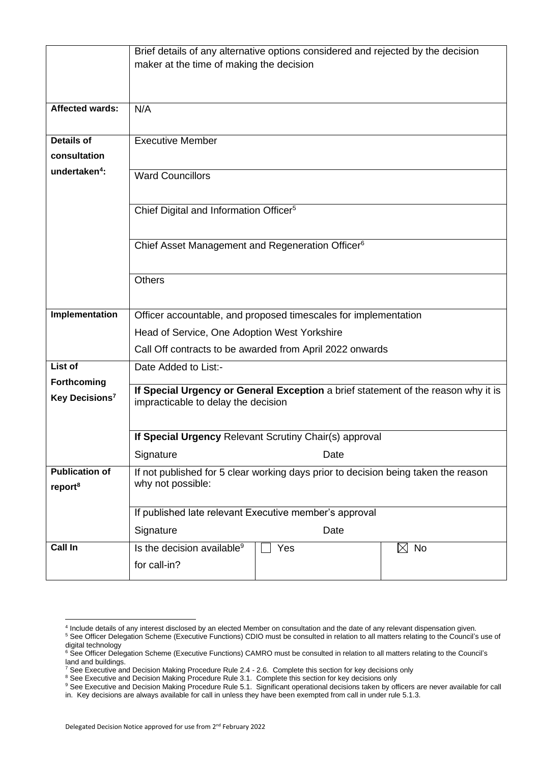|                            | Brief details of any alternative options considered and rejected by the decision                                         |  |  |  |  |
|----------------------------|--------------------------------------------------------------------------------------------------------------------------|--|--|--|--|
|                            | maker at the time of making the decision                                                                                 |  |  |  |  |
|                            |                                                                                                                          |  |  |  |  |
|                            |                                                                                                                          |  |  |  |  |
| <b>Affected wards:</b>     | N/A                                                                                                                      |  |  |  |  |
|                            |                                                                                                                          |  |  |  |  |
| <b>Details of</b>          | <b>Executive Member</b>                                                                                                  |  |  |  |  |
| consultation               |                                                                                                                          |  |  |  |  |
| undertaken <sup>4</sup> :  | <b>Ward Councillors</b>                                                                                                  |  |  |  |  |
|                            |                                                                                                                          |  |  |  |  |
|                            | Chief Digital and Information Officer <sup>5</sup>                                                                       |  |  |  |  |
|                            |                                                                                                                          |  |  |  |  |
|                            | Chief Asset Management and Regeneration Officer <sup>6</sup>                                                             |  |  |  |  |
|                            |                                                                                                                          |  |  |  |  |
|                            |                                                                                                                          |  |  |  |  |
|                            | Others                                                                                                                   |  |  |  |  |
|                            |                                                                                                                          |  |  |  |  |
| Implementation             | Officer accountable, and proposed timescales for implementation                                                          |  |  |  |  |
|                            | Head of Service, One Adoption West Yorkshire                                                                             |  |  |  |  |
|                            | Call Off contracts to be awarded from April 2022 onwards                                                                 |  |  |  |  |
| <b>List of</b>             | Date Added to List:-                                                                                                     |  |  |  |  |
| <b>Forthcoming</b>         |                                                                                                                          |  |  |  |  |
| Key Decisions <sup>7</sup> | If Special Urgency or General Exception a brief statement of the reason why it is<br>impracticable to delay the decision |  |  |  |  |
|                            |                                                                                                                          |  |  |  |  |
|                            | If Special Urgency Relevant Scrutiny Chair(s) approval                                                                   |  |  |  |  |
|                            |                                                                                                                          |  |  |  |  |
|                            | Signature<br>Date                                                                                                        |  |  |  |  |
| <b>Publication of</b>      | If not published for 5 clear working days prior to decision being taken the reason<br>why not possible:                  |  |  |  |  |
| report <sup>8</sup>        |                                                                                                                          |  |  |  |  |
|                            | If published late relevant Executive member's approval                                                                   |  |  |  |  |
|                            | Signature<br>Date                                                                                                        |  |  |  |  |
| Call In                    | Is the decision available <sup>9</sup><br>Yes<br>$\boxtimes$ No                                                          |  |  |  |  |
|                            |                                                                                                                          |  |  |  |  |
|                            | for call-in?                                                                                                             |  |  |  |  |

<sup>4</sup> Include details of any interest disclosed by an elected Member on consultation and the date of any relevant dispensation given.

<sup>&</sup>lt;sup>5</sup> See Officer Delegation Scheme (Executive Functions) CDIO must be consulted in relation to all matters relating to the Council's use of digital technology

<sup>&</sup>lt;sup>6</sup> See Officer Delegation Scheme (Executive Functions) CAMRO must be consulted in relation to all matters relating to the Council's land and buildings.

 $^7$  See Executive and Decision Making Procedure Rule 2.4 - 2.6. Complete this section for key decisions only

<sup>&</sup>lt;sup>8</sup> See Executive and Decision Making Procedure Rule 3.1. Complete this section for key decisions only

<sup>&</sup>lt;sup>9</sup> See Executive and Decision Making Procedure Rule 5.1. Significant operational decisions taken by officers are never available for call in. Key decisions are always available for call in unless they have been exempted from call in under rule 5.1.3.